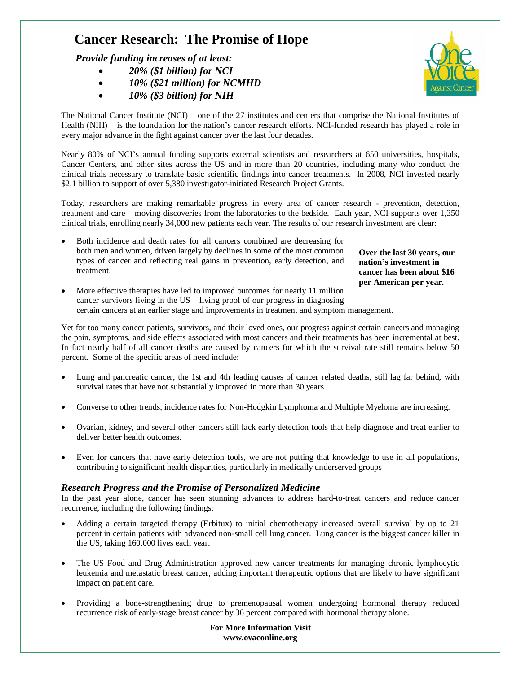# **Cancer Research: The Promise of Hope**

 *Provide funding increases of at least:*

- *20% (\$1 billion) for NCI*
- *10% (\$21 million) for NCMHD*
- *10% (\$3 billion) for NIH*



The National Cancer Institute (NCI) – one of the 27 institutes and centers that comprise the National Institutes of Health (NIH) – is the foundation for the nation's cancer research efforts. NCI-funded research has played a role in every major advance in the fight against cancer over the last four decades.

Nearly 80% of NCI's annual funding supports external scientists and researchers at 650 universities, hospitals, Cancer Centers, and other sites across the US and in more than 20 countries, including many who conduct the clinical trials necessary to translate basic scientific findings into cancer treatments. In 2008, NCI invested nearly \$2.1 billion to support of over 5,380 investigator-initiated Research Project Grants.

Today, researchers are making remarkable progress in every area of cancer research - prevention, detection, treatment and care – moving discoveries from the laboratories to the bedside. Each year, NCI supports over 1,350 clinical trials, enrolling nearly 34,000 new patients each year. The results of our research investment are clear:

 Both incidence and death rates for all cancers combined are decreasing for both men and women, driven largely by declines in some of the most common types of cancer and reflecting real gains in prevention, early detection, and treatment.

**Over the last 30 years, our nation's investment in cancer has been about \$16 per American per year.**

 More effective therapies have led to improved outcomes for nearly 11 million cancer survivors living in the US – living proof of our progress in diagnosing certain cancers at an earlier stage and improvements in treatment and symptom management.

Yet for too many cancer patients, survivors, and their loved ones, our progress against certain cancers and managing the pain, symptoms, and side effects associated with most cancers and their treatments has been incremental at best. In fact nearly half of all cancer deaths are caused by cancers for which the survival rate still remains below 50 percent. Some of the specific areas of need include:

- Lung and pancreatic cancer, the 1st and 4th leading causes of cancer related deaths, still lag far behind, with survival rates that have not substantially improved in more than 30 years.
- Converse to other trends, incidence rates for Non-Hodgkin Lymphoma and Multiple Myeloma are increasing.
- Ovarian, kidney, and several other cancers still lack early detection tools that help diagnose and treat earlier to deliver better health outcomes.
- Even for cancers that have early detection tools, we are not putting that knowledge to use in all populations, contributing to significant health disparities, particularly in medically underserved groups

# *Research Progress and the Promise of Personalized Medicine*

In the past year alone, cancer has seen stunning advances to address hard-to-treat cancers and reduce cancer recurrence, including the following findings:

- Adding a certain targeted therapy (Erbitux) to initial chemotherapy increased overall survival by up to 21 percent in certain patients with advanced non-small cell lung cancer. Lung cancer is the biggest cancer killer in the US, taking 160,000 lives each year.
- The US Food and Drug Administration approved new cancer treatments for managing chronic lymphocytic leukemia and metastatic breast cancer, adding important therapeutic options that are likely to have significant impact on patient care.
- Providing a bone-strengthening drug to premenopausal women undergoing hormonal therapy reduced recurrence risk of early-stage breast cancer by 36 percent compared with hormonal therapy alone.

**For More Information Visit www.ovaconline.org**